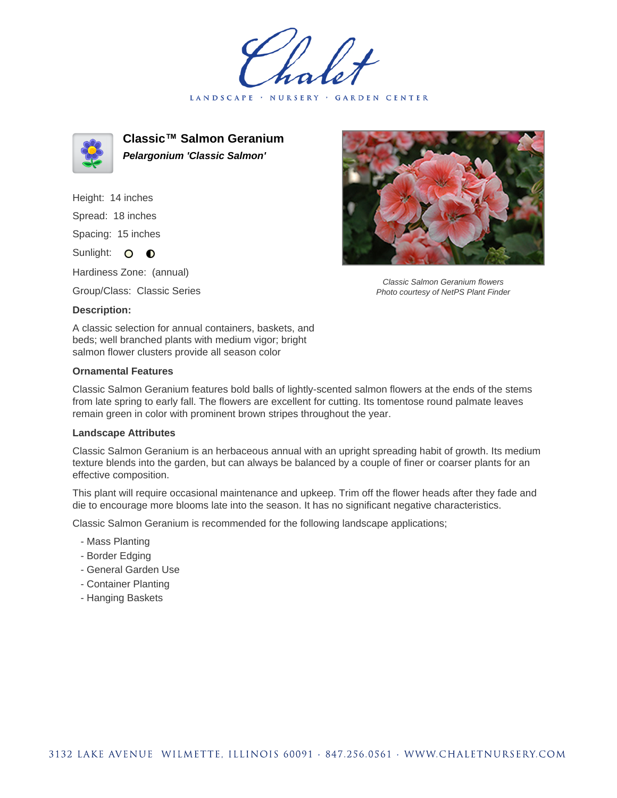LANDSCAPE · NURSERY · GARDEN CENTER



**Classic™ Salmon Geranium Pelargonium 'Classic Salmon'**

Height: 14 inches Spread: 18 inches Spacing: 15 inches Sunlight: O **O** 

Hardiness Zone: (annual)

Group/Class: Classic Series

## **Description:**

A classic selection for annual containers, baskets, and beds; well branched plants with medium vigor; bright salmon flower clusters provide all season color

## **Ornamental Features**

Classic Salmon Geranium features bold balls of lightly-scented salmon flowers at the ends of the stems from late spring to early fall. The flowers are excellent for cutting. Its tomentose round palmate leaves remain green in color with prominent brown stripes throughout the year.

## **Landscape Attributes**

Classic Salmon Geranium is an herbaceous annual with an upright spreading habit of growth. Its medium texture blends into the garden, but can always be balanced by a couple of finer or coarser plants for an effective composition.

This plant will require occasional maintenance and upkeep. Trim off the flower heads after they fade and die to encourage more blooms late into the season. It has no significant negative characteristics.

Classic Salmon Geranium is recommended for the following landscape applications;

- Mass Planting
- Border Edging
- General Garden Use
- Container Planting
- Hanging Baskets



Classic Salmon Geranium flowers Photo courtesy of NetPS Plant Finder